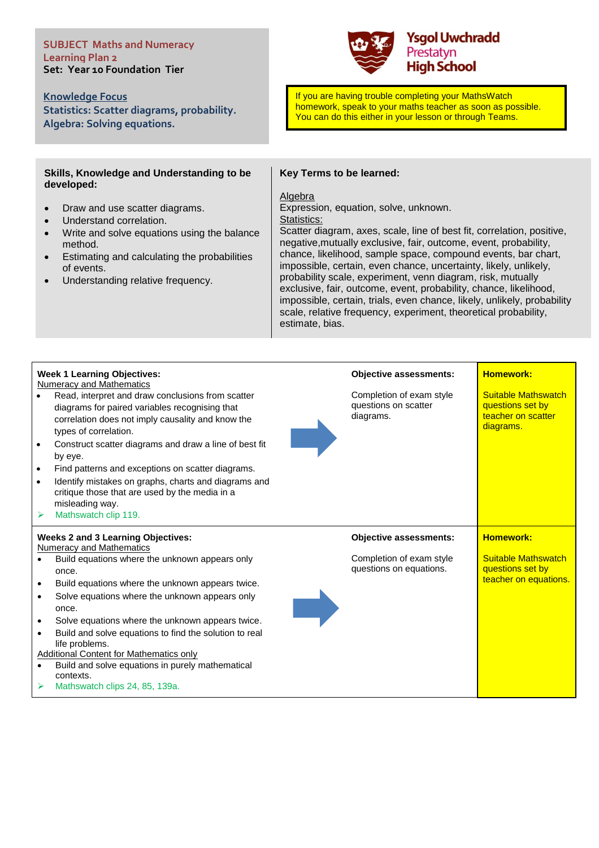#### **SUBJECT Maths and Numeracy Learning Plan 2 Set: Year 10 Foundation Tier**

**Knowledge Focus Statistics: Scatter diagrams, probability. Algebra: Solving equations.**

### **Skills, Knowledge and Understanding to be developed:**

- Draw and use scatter diagrams.
- Understand correlation.
- Write and solve equations using the balance method.
- Estimating and calculating the probabilities of events.
- Understanding relative frequency.



If you are having trouble completing your MathsWatch homework, speak to your maths teacher as soon as possible. You can do this either in your lesson or through Teams.

## **Key Terms to be learned:**

# Algebra

Expression, equation, solve, unknown. Statistics:

Scatter diagram, axes, scale, line of best fit, correlation, positive, negative,mutually exclusive, fair, outcome, event, probability, chance, likelihood, sample space, compound events, bar chart, impossible, certain, even chance, uncertainty, likely, unlikely, probability scale, experiment, venn diagram, risk, mutually exclusive, fair, outcome, event, probability, chance, likelihood, impossible, certain, trials, even chance, likely, unlikely, probability scale, relative frequency, experiment, theoretical probability, estimate, bias.

| $\bullet$ | <b>Week 1 Learning Objectives:</b><br><b>Numeracy and Mathematics</b><br>Read, interpret and draw conclusions from scatter<br>diagrams for paired variables recognising that<br>correlation does not imply causality and know the<br>types of correlation.<br>Construct scatter diagrams and draw a line of best fit<br>by eye.<br>Find patterns and exceptions on scatter diagrams.<br>Identify mistakes on graphs, charts and diagrams and<br>critique those that are used by the media in a<br>misleading way.<br>Mathswatch clip 119. | <b>Objective assessments:</b><br>Completion of exam style<br>questions on scatter<br>diagrams. | <b>Homework:</b><br><b>Suitable Mathswatch</b><br>questions set by<br>teacher on scatter<br>diagrams. |
|-----------|-------------------------------------------------------------------------------------------------------------------------------------------------------------------------------------------------------------------------------------------------------------------------------------------------------------------------------------------------------------------------------------------------------------------------------------------------------------------------------------------------------------------------------------------|------------------------------------------------------------------------------------------------|-------------------------------------------------------------------------------------------------------|
|           |                                                                                                                                                                                                                                                                                                                                                                                                                                                                                                                                           |                                                                                                |                                                                                                       |
|           | <b>Weeks 2 and 3 Learning Objectives:</b><br><b>Numeracy and Mathematics</b>                                                                                                                                                                                                                                                                                                                                                                                                                                                              | <b>Objective assessments:</b>                                                                  | <b>Homework:</b>                                                                                      |
|           | Build equations where the unknown appears only<br>once.<br>Build equations where the unknown appears twice.<br>Solve equations where the unknown appears only                                                                                                                                                                                                                                                                                                                                                                             | Completion of exam style<br>questions on equations.                                            | <b>Suitable Mathswatch</b><br>questions set by<br>teacher on equations.                               |
|           | once.<br>Solve equations where the unknown appears twice.<br>Build and solve equations to find the solution to real<br>life problems.<br><b>Additional Content for Mathematics only</b><br>Build and solve equations in purely mathematical                                                                                                                                                                                                                                                                                               |                                                                                                |                                                                                                       |